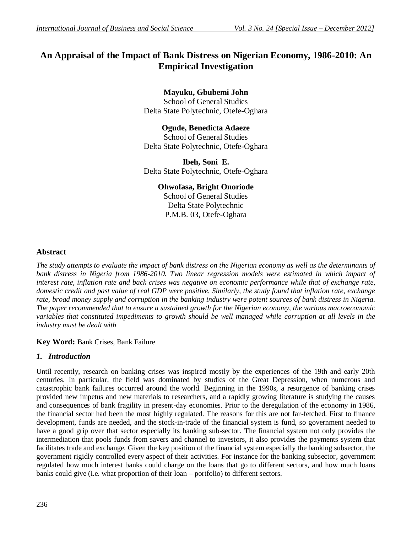# **An Appraisal of the Impact of Bank Distress on Nigerian Economy, 1986-2010: An Empirical Investigation**

**Mayuku, Gbubemi John** School of General Studies Delta State Polytechnic, Otefe-Oghara

**Ogude, Benedicta Adaeze** School of General Studies Delta State Polytechnic, Otefe-Oghara

**Ibeh, Soni E.** Delta State Polytechnic, Otefe-Oghara

## **Ohwofasa, Bright Onoriode**

School of General Studies Delta State Polytechnic P.M.B. 03, Otefe-Oghara

## **Abstract**

*The study attempts to evaluate the impact of bank distress on the Nigerian economy as well as the determinants of bank distress in Nigeria from 1986-2010. Two linear regression models were estimated in which impact of interest rate, inflation rate and back crises was negative on economic performance while that of exchange rate, domestic credit and past value of real GDP were positive. Similarly, the study found that inflation rate, exchange rate, broad money supply and corruption in the banking industry were potent sources of bank distress in Nigeria. The paper recommended that to ensure a sustained growth for the Nigerian economy, the various macroeconomic variables that constituted impediments to growth should be well managed while corruption at all levels in the industry must be dealt with*

## **Key Word:** Bank Crises, Bank Failure

## *1. Introduction*

Until recently, research on banking crises was inspired mostly by the experiences of the 19th and early 20th centuries. In particular, the field was dominated by studies of the Great Depression, when numerous and catastrophic bank failures occurred around the world. Beginning in the 1990s, a resurgence of banking crises provided new impetus and new materials to researchers, and a rapidly growing literature is studying the causes and consequences of bank fragility in present-day economies. Prior to the deregulation of the economy in 1986, the financial sector had been the most highly regulated. The reasons for this are not far-fetched. First to finance development, funds are needed, and the stock-in-trade of the financial system is fund, so government needed to have a good grip over that sector especially its banking sub-sector. The financial system not only provides the intermediation that pools funds from savers and channel to investors, it also provides the payments system that facilitates trade and exchange. Given the key position of the financial system especially the banking subsector, the government rigidly controlled every aspect of their activities. For instance for the banking subsector, government regulated how much interest banks could charge on the loans that go to different sectors, and how much loans banks could give (i.e. what proportion of their loan – portfolio) to different sectors.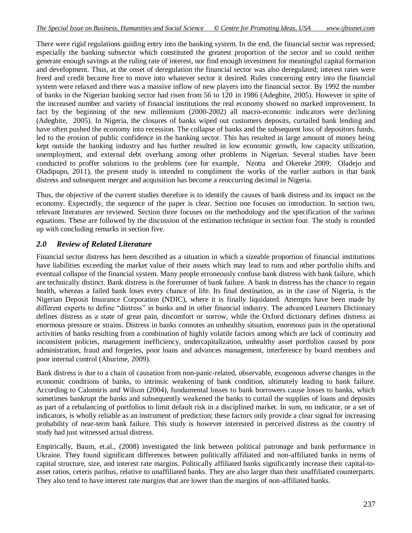There were rigid regulations guiding entry into the banking system. In the end, the financial sector was repressed; especially the banking subsector which constituted the greatest proportion of the sector and so could neither generate enough savings at the ruling rate of interest, nor find enough investment for meaningful capital formation and development. Thus, at the onset of deregulation the financial sector was also deregulated; interest rates were freed and credit became free to move into whatever sector it desired. Rules concerning entry into the financial system were relaxed and there was a massive inflow of new players into the financial sector. By 1992 the number of banks in the Nigerian banking sector had risen from 56 to 120 in 1986 (Adegbite, 2005). However in spite of the increased number and variety of financial institutions the real economy showed no marked improvement. In fact by the beginning of the new millennium (2000-2002) all macro-economic indicators were declining (Adegbite, 2005). In Nigeria, the closures of banks wiped out customers deposits, curtailed bank lending and have often pushed the economy into recession. The collapse of banks and the subsequent loss of depositors funds, led to the erosion of public confidence in the banking sector. This has resulted in large amount of money being kept outside the banking industry and has further resulted in low economic growth, low capacity utilization, unemployment, and external debt overhang among other problems in Nigerian. Several studies have been conducted to proffer solutions to the problems (see for example, Nzotta and Okereke 2009; Oladejo and Oladipupo, 2011), the present study is intended to compliment the works of the earlier authors in that bank distress and subsequent merger and acquisition has become a reoccurring decimal in Nigeria.

Thus, the objective of the current studies therefore is to identify the causes of bank distress and its impact on the economy. Expectedly, the sequence of the paper is clear. Section one focuses on introduction. In section two, relevant literatures are reviewed. Section three focuses on the methodology and the specification of the various equations. These are followed by the discussion of the estimation technique in section four. The study is rounded up with concluding remarks in section five.

## *2.0 Review of Related Literature*

Financial sector distress has been described as a situation in which a sizeable proportion of financial institutions have liabilities exceeding the market value of their assets which may lead to runs and other portfolio shifts and eventual collapse of the financial system. Many people erroneously confuse bank distress with bank failure, which are technically distinct. Bank distress is the forerunner of bank failure. A bank in distress has the chance to regain health, whereas a failed bank loses every chance of life. Its final destination, as in the case of Nigeria, is the Nigerian Deposit Insurance Corporation (NDIC), where it is finally liquidated. Attempts have been made by different experts to define "distress" in banks and in other financial industry. The advanced Learners Dictionary defines distress as a state of great pain, discomfort or sorrow, while the Oxford dictionary defines distress as enormous pressure or strains. Distress in banks connotes an unhealthy situation, enormous pain in the operational activities of banks resulting from a combination of highly volatile factors among which are lack of continuity and inconsistent policies, management inefficiency, undercapitalization, unhealthy asset portfolios caused by poor administration, fraud and forgeries, poor loans and advances management, interference by board members and poor internal control (Aburime, 2009).

Bank distress is due to a chain of causation from non-panic-related, observable, exogenous adverse changes in the economic conditions of banks, to intrinsic weakening of bank condition, ultimately leading to bank failure. According to Calomiris and Wilson (2004), fundamental losses to bank borrowers cause losses to banks, which sometimes bankrupt the banks and subsequently weakened the banks to curtail the supplies of loans and deposits as part of a rebalancing of portfolios to limit default risk in a disciplined market. In sum, no indicator, or a set of indicators, is wholly reliable as an instrument of prediction; these factors only provide a clear signal for increasing probability of near-term bank failure. This study is however interested in perceived distress as the country of study had just witnessed actual distress.

Empirically, Baum, et.al., (2008) investigated the link between political patronage and bank performance in Ukraine. They found significant differences between politically affiliated and non-affiliated banks in terms of capital structure, size, and interest rate margins. Politically affiliated banks significantly increase their capital-toasset ratios, ceteris paribus, relative to unaffiliated banks. They are also larger than their unaffiliated counterparts. They also tend to have interest rate margins that are lower than the margins of non-affiliated banks.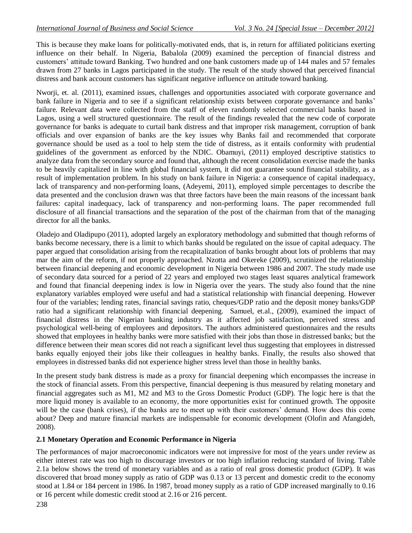This is because they make loans for politically-motivated ends, that is, in return for affiliated politicians exerting influence on their behalf. In Nigeria, Babalola (2009) examined the perception of financial distress and customers" attitude toward Banking. Two hundred and one bank customers made up of 144 males and 57 females drawn from 27 banks in Lagos participated in the study. The result of the study showed that perceived financial distress and bank account customers has significant negative influence on attitude toward banking.

Nworji, et. al. (2011), examined issues, challenges and opportunities associated with corporate governance and bank failure in Nigeria and to see if a significant relationship exists between corporate governance and banks" failure. Relevant data were collected from the staff of eleven randomly selected commercial banks based in Lagos, using a well structured questionnaire. The result of the findings revealed that the new code of corporate governance for banks is adequate to curtail bank distress and that improper risk management, corruption of bank officials and over expansion of banks are the key issues why Banks fail and recommended that corporate governance should be used as a tool to help stem the tide of distress, as it entails conformity with prudential guidelines of the government as enforced by the NDIC. Obamuyi, (2011) employed descriptive statistics to analyze data from the secondary source and found that, although the recent consolidation exercise made the banks to be heavily capitalized in line with global financial system, it did not guarantee sound financial stability, as a result of implementation problem. In his study on bank failure in Nigeria: a consequence of capital inadequacy, lack of transparency and non-performing loans, (Adeyemi, 2011), employed simple percentages to describe the data presented and the conclusion drawn was that three factors have been the main reasons of the incessant bank failures: capital inadequacy, lack of transparency and non-performing loans. The paper recommended full disclosure of all financial transactions and the separation of the post of the chairman from that of the managing director for all the banks.

Oladejo and Oladipupo (2011), adopted largely an exploratory methodology and submitted that though reforms of banks become necessary, there is a limit to which banks should be regulated on the issue of capital adequacy. The paper argued that consolidation arising from the recapitalization of banks brought about lots of problems that may mar the aim of the reform, if not properly approached. Nzotta and Okereke (2009), scrutinized the relationship between financial deepening and economic development in Nigeria between 1986 and 2007. The study made use of secondary data sourced for a period of 22 years and employed two stages least squares analytical framework and found that financial deepening index is low in Nigeria over the years. The study also found that the nine explanatory variables employed were useful and had a statistical relationship with financial deepening. However four of the variables; lending rates, financial savings ratio, cheques/GDP ratio and the deposit money banks/GDP ratio had a significant relationship with financial deepening. Samuel, et.al., (2009), examined the impact of financial distress in the Nigerian banking industry as it affected job satisfaction, perceived stress and psychological well-being of employees and depositors. The authors administered questionnaires and the results showed that employees in healthy banks were more satisfied with their jobs than those in distressed banks; but the difference between their mean scores did not reach a significant level thus suggesting that employees in distressed banks equally enjoyed their jobs like their colleagues in healthy banks. Finally, the results also showed that employees in distressed banks did not experience higher stress level than those in healthy banks.

In the present study bank distress is made as a proxy for financial deepening which encompasses the increase in the stock of financial assets. From this perspective, financial deepening is thus measured by relating monetary and financial aggregates such as M1, M2 and M3 to the Gross Domestic Product (GDP). The logic here is that the more liquid money is available to an economy, the more opportunities exist for continued growth. The opposite will be the case (bank crises), if the banks are to meet up with their customers' demand. How does this come about? Deep and mature financial markets are indispensable for economic development (Olofin and Afangideh, 2008).

#### **2.1 Monetary Operation and Economic Performance in Nigeria**

The performances of major macroeconomic indicators were not impressive for most of the years under review as either interest rate was too high to discourage investors or too high inflation reducing standard of living. Table 2.1a below shows the trend of monetary variables and as a ratio of real gross domestic product (GDP). It was discovered that broad money supply as ratio of GDP was 0.13 or 13 percent and domestic credit to the economy stood at 1.84 or 184 percent in 1986. In 1987, broad money supply as a ratio of GDP increased marginally to 0.16 or 16 percent while domestic credit stood at 2.16 or 216 percent.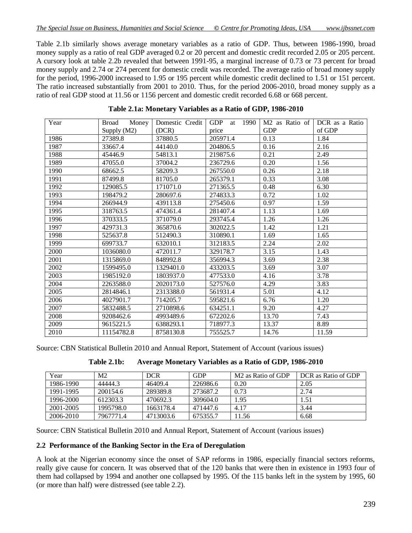Table 2.1b similarly shows average monetary variables as a ratio of GDP. Thus, between 1986-1990, broad money supply as a ratio of real GDP averaged 0.2 or 20 percent and domestic credit recorded 2.05 or 205 percent. A cursory look at table 2.2b revealed that between 1991-95, a marginal increase of 0.73 or 73 percent for broad money supply and 2.74 or 274 percent for domestic credit was recorded. The average ratio of broad money supply for the period, 1996-2000 increased to 1.95 or 195 percent while domestic credit declined to 1.51 or 151 percent. The ratio increased substantially from 2001 to 2010. Thus, for the period 2006-2010, broad money supply as a ratio of real GDP stood at 11.56 or 1156 percent and domestic credit recorded 6.68 or 668 percent.

| Year | Money<br><b>Broad</b> | Domestic Credit | <b>GDP</b><br>1990<br>at | M <sub>2</sub> as Ratio of | DCR as a Ratio |
|------|-----------------------|-----------------|--------------------------|----------------------------|----------------|
|      | Supply (M2)           | (DCR)           | price                    | <b>GDP</b>                 | of GDP         |
| 1986 | 27389.8               | 37880.5         | 205971.4                 | 0.13                       | 1.84           |
| 1987 | 33667.4               | 44140.0         | 204806.5                 | 0.16                       | 2.16           |
| 1988 | 45446.9               | 54813.1         | 219875.6                 | 0.21                       | 2.49           |
| 1989 | 47055.0               | 37004.2         | 236729.6                 | 0.20                       | 1.56           |
| 1990 | 68662.5               | 58209.3         | 267550.0                 | 0.26                       | 2.18           |
| 1991 | 87499.8               | 81705.0         | 265379.1                 | 0.33                       | 3.08           |
| 1992 | 129085.5              | 171071.0        | 271365.5                 | 0.48                       | 6.30           |
| 1993 | 198479.2              | 280697.6        | 274833.3                 | 0.72                       | 1.02           |
| 1994 | 266944.9              | 439113.8        | 275450.6                 | 0.97                       | 1.59           |
| 1995 | 318763.5              | 474361.4        | 281407.4                 | 1.13                       | 1.69           |
| 1996 | 370333.5              | 371079.0        | 293745.4                 | 1.26                       | 1.26           |
| 1997 | 429731.3              | 365870.6        | 302022.5                 | 1.42                       | 1.21           |
| 1998 | 525637.8              | 512490.3        | 310890.1                 | 1.69                       | 1.65           |
| 1999 | 699733.7              | 632010.1        | 312183.5                 | 2.24                       | 2.02           |
| 2000 | 1036080.0             | 472011.7        | 329178.7                 | 3.15                       | 1.43           |
| 2001 | 1315869.0             | 848992.8        | 356994.3                 | 3.69                       | 2.38           |
| 2002 | 1599495.0             | 1329401.0       | 433203.5                 | 3.69                       | 3.07           |
| 2003 | 1985192.0             | 1803937.0       | 477533.0                 | 4.16                       | 3.78           |
| 2004 | 2263588.0             | 2020173.0       | 527576.0                 | 4.29                       | 3.83           |
| 2005 | 2814846.1             | 2313388.0       | 561931.4                 | 5.01                       | 4.12           |
| 2006 | 4027901.7             | 714205.7        | 595821.6                 | 6.76                       | 1.20           |
| 2007 | 5832488.5             | 2710898.6       | 634251.1                 | 9.20                       | 4.27           |
| 2008 | 9208462.6             | 4993489.6       | 672202.6                 | 13.70                      | 7.43           |
| 2009 | 9615221.5             | 6388293.1       | 718977.3                 | 13.37                      | 8.89           |
| 2010 | 11154782.8            | 8758130.8       | 755525.7                 | 14.76                      | 11.59          |

**Table 2.1a: Monetary Variables as a Ratio of GDP, 1986-2010**

Source: CBN Statistical Bulletin 2010 and Annual Report, Statement of Account (various issues)

| Table 2.1b: | Average Monetary Variables as a Ratio of GDP, 1986-2010 |  |  |  |
|-------------|---------------------------------------------------------|--|--|--|
|-------------|---------------------------------------------------------|--|--|--|

| Year      | M <sub>2</sub> | <b>DCR</b> | <b>GDP</b> | M <sub>2</sub> as Ratio of GDP | DCR as Ratio of GDP |
|-----------|----------------|------------|------------|--------------------------------|---------------------|
| 1986-1990 | 44444.3        | 46409.4    | 226986.6   | 0.20                           | 2.05                |
| 1991-1995 | 200154.6       | 289389.8   | 273687.2   | 0.73                           | 2.74                |
| 1996-2000 | 612303.3       | 470692.3   | 309604.0   | 1.95                           | 1.51                |
| 2001-2005 | 1995798.0      | 1663178.4  | 471447.6   | 4.17                           | 3.44                |
| 2006-2010 | 7967771.4      | 4713003.6  | 675355.7   | 11.56                          | 6.68                |

Source: CBN Statistical Bulletin 2010 and Annual Report, Statement of Account (various issues)

#### **2.2 Performance of the Banking Sector in the Era of Deregulation**

A look at the Nigerian economy since the onset of SAP reforms in 1986, especially financial sectors reforms, really give cause for concern. It was observed that of the 120 banks that were then in existence in 1993 four of them had collapsed by 1994 and another one collapsed by 1995. Of the 115 banks left in the system by 1995, 60 (or more than half) were distressed (see table 2.2).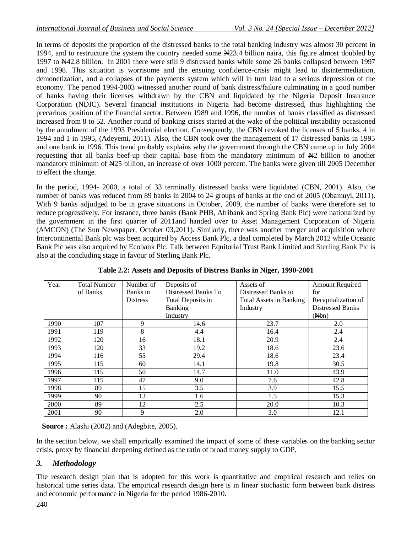In terms of deposits the proportion of the distressed banks to the total banking industry was almost 30 percent in 1994, and to restructure the system the country needed some N23.4 billion naira, this figure almost doubled by 1997 to N42.8 billion. In 2001 there were still 9 distressed banks while some 26 banks collapsed between 1997 and 1998. This situation is worrisome and the ensuing confidence-crisis might lead to disintermediation, demonetization, and a collapses of the payments system which will in turn lead to a serious depression of the economy. The period 1994-2003 witnessed another round of bank distress/failure culminating in a good number of banks having their licenses withdrawn by the CBN and liquidated by the Nigeria Deposit Insurance Corporation (NDIC). Several financial institutions in Nigeria had become distressed, thus highlighting the precarious position of the financial sector. Between 1989 and 1996, the number of banks classified as distressed increased from 8 to 52. Another round of banking crises started at the wake of the political instability occasioned by the annulment of the 1993 Presidential election. Consequently, the CBN revoked the licenses of 5 banks, 4 in 1994 and 1 in 1995, (Adeyemi, 2011). Also, the CBN took over the management of 17 distressed banks in 1995 and one bank in 1996. This trend probably explains why the government through the CBN came up in July 2004 requesting that all banks beef-up their capital base from the mandatory minimum of  $\mathbb{H}2$  billion to another mandatory minimum of N25 billion, an increase of over 1000 percent. The banks were given till 2005 December to effect the change.

In the period, 1994- 2000, a total of 33 terminally distressed banks were liquidated (CBN, 2001). Also, the number of banks was reduced from 89 banks in 2004 to 24 groups of banks at the end of 2005 (Obamuyi, 2011). With 9 banks adjudged to be in grave situations in October, 2009, the number of banks were therefore set to reduce progressively. For instance, three banks (Bank PHB, Afribank and Spring Bank Plc) were nationalized by the government in the first quarter of 2011and handed over to Asset Management Corporation of Nigeria (AMCON) (The Sun Newspaper, October 03,2011). Similarly, there was another merger and acquisition where Intercontinental Bank plc was been acquired by Access Bank Plc, a deal completed by March 2012 while Oceanic Bank Plc was also acquired by Ecobank Plc. Talk between Equitorial Trust Bank Limited and Sterling Bank Plc is also at the concluding stage in favour of Sterling Bank Plc.

| Year | <b>Total Number</b> | Number of       | Deposits of         | Assets of                      | <b>Amount Required</b>  |
|------|---------------------|-----------------|---------------------|--------------------------------|-------------------------|
|      | of Banks            | Banks in        | Distressed Banks To | Distressed Banks to            | for                     |
|      |                     |                 |                     |                                |                         |
|      |                     | <b>Distress</b> | Total Deposits in   | <b>Total Assets in Banking</b> | Recapitalization of     |
|      |                     |                 | Banking             | Industry                       | <b>Distressed Banks</b> |
|      |                     |                 | Industry            |                                | (A/bn)                  |
| 1990 | 107                 | 9               | 14.6                | 23.7                           | 2.0                     |
| 1991 | 119                 | 8               | 4.4                 | 16.4                           | 2.4                     |
| 1992 | 120                 | 16              | 18.1                | 20.9                           | 2.4                     |
| 1993 | 120                 | 33              | 19.2                | 18.6                           | 23.6                    |
| 1994 | 116                 | 55              | 29.4                | 18.6                           | 23.4                    |
| 1995 | 115                 | 60              | 14.1                | 19.8                           | 30.5                    |
| 1996 | 115                 | 50              | 14.7                | 11.0                           | 43.9                    |
| 1997 | 115                 | 47              | 9.0                 | 7.6                            | 42.8                    |
| 1998 | 89                  | 15              | 3.5                 | 3.9                            | 15.5                    |
| 1999 | 90                  | 13              | 1.6                 | 1.5                            | 15.3                    |
| 2000 | 89                  | 12              | 2.5                 | 20.0                           | 10.3                    |
| 2001 | 90                  | 9               | 2.0                 | 3.0                            | 12.1                    |

**Table 2.2: Assets and Deposits of Distress Banks in Niger, 1990-2001**

 **Source :** Alashi (2002) and (Adegbite, 2005).

In the section below, we shall empirically examined the impact of some of these variables on the banking sector crisis, proxy by financial deepening defined as the ratio of broad money supply to GDP.

## *3. Methodology*

The research design plan that is adopted for this work is quantitative and empirical research and relies on historical time series data. The empirical research design here is in linear stochastic form between bank distress and economic performance in Nigeria for the period 1986-2010.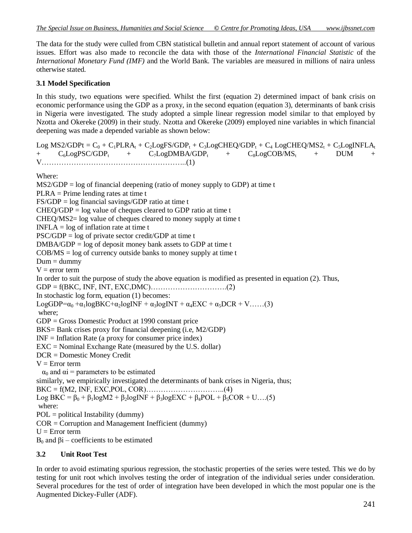The data for the study were culled from CBN statistical bulletin and annual report statement of account of various issues. Effort was also made to reconcile the data with those of the *International Financial Statistic* of the *International Monetary Fund (IMF)* and the World Bank. The variables are measured in millions of naira unless otherwise stated.

#### **3.1 Model Specification**

In this study, two equations were specified. Whilst the first (equation 2) determined impact of bank crisis on economic performance using the GDP as a proxy, in the second equation (equation 3), determinants of bank crisis in Nigeria were investigated. The study adopted a simple linear regression model similar to that employed by Nzotta and Okereke (2009) in their study. Nzotta and Okereke (2009) employed nine variables in which financial deepening was made a depended variable as shown below:

 $Log MS2/GDPt = C_0 + C_1PLRA_t + C_2LogFS/GDP_t + C_3LogCHEQ/GDP_t + C_4 LogCHEQ/MS2_t + C_5LogINFLA_t$ +  $C_6LogPSC/GDP_t$  +  $C_7LogDMBA/GDP_t$  +  $C_8LogCOB/MS_t$  + DUM + V…………………………………………………..(1) Where:  $MS2/GDP = log of financial deepening (ratio of money supply to GDP) at time t$ PLRA = Prime lending rates at time t  $FS/GDP = log$  financial savings/GDP ratio at time t  $CHEQ/GDP = log value of the *clanced* to GDP ratio at time  $t$ .$ CHEQ/MS2= log value of cheques cleared to money supply at time t  $INFLA = log of inflation rate at time t$  $PSC/GDP = log of private sector credit/GDP at time t$  $DMBA/GDP = log of deposit money bank assets to GDP at time t$  $COB/MS = log of currency outside banks to money supply at time t$  $Dum =$  dummy  $V = error term$ In order to suit the purpose of study the above equation is modified as presented in equation (2). Thus, GDP = f(BKC, INF, INT, EXC,DMC)………………………….(2) In stochastic log form, equation (1) becomes: LogGDP= $\alpha_0 + \alpha_1 \log BKC + \alpha_2 \log INF + \alpha_3 \log INT + \alpha_4 EXC + \alpha_5 DCR + V$ ……(3) where; GDP = Gross Domestic Product at 1990 constant price BKS= Bank crises proxy for financial deepening (i.e, M2/GDP)  $INF = Inflation Rate (a proxy for consumer price index)$ EXC = Nominal Exchange Rate (measured by the U.S. dollar) DCR = Domestic Money Credit  $V = Error$  term  $\alpha_0$  and  $\alpha$  = parameters to be estimated similarly, we empirically investigated the determinants of bank crises in Nigeria, thus; BKC = f(M2, INF, EXC,POL, COR)…………………………..(4) Log BKC =  $\beta_0 + \beta_1 \log M2 + \beta_2 \log INF + \beta_3 \log EXC + \beta_4 POL + \beta_5 COR + U$ ...(5) where: POL = political Instability (dummy)  $COR = Corruption$  and Management Inefficient (dummy)  $U = Error$  term  $B<sub>0</sub>$  and βi – coefficients to be estimated

#### **3.2 Unit Root Test**

In order to avoid estimating spurious regression, the stochastic properties of the series were tested. This we do by testing for unit root which involves testing the order of integration of the individual series under consideration. Several procedures for the test of order of integration have been developed in which the most popular one is the Augmented Dickey-Fuller (ADF).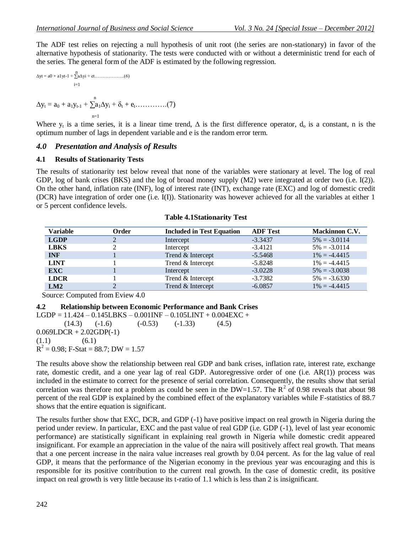The ADF test relies on rejecting a null hypothesis of unit root (the series are non-stationary) in favor of the alternative hypothesis of stationarity. The tests were conducted with or without a deterministic trend for each of the series. The general form of the ADF is estimated by the following regression.

$$
\Delta yt = a0 + a1yt - 1 + \sum_{i=1}^{n} A_{i}y_{i} + \varepsilon t \dots \dots \dots \dots \dots \dots (6)
$$
  
\n
$$
i = 1
$$
  
\n
$$
\Delta y_{t} = a_{0} + a_{1}y_{t-1} + \sum_{n=1}^{n} a_{1}\Delta y_{i} + \delta_{t} + e_{t} \dots \dots \dots \dots \dots (7)
$$

Where  $y_t$  is a time series, it is a linear time trend,  $\Delta$  is the first difference operator,  $d_0$  is a constant, n is the optimum number of lags in dependent variable and e is the random error term.

#### *4.0 Presentation and Analysis of Results*

#### **4.1 Results of Stationarity Tests**

The results of stationarity test below reveal that none of the variables were stationary at level. The log of real GDP, log of bank crises (BKS) and the log of broad money supply (M2) were integrated at order two (i.e. I(2)). On the other hand, inflation rate (INF), log of interest rate (INT), exchange rate (EXC) and log of domestic credit (DCR) have integration of order one (i.e. I(I)). Stationarity was however achieved for all the variables at either 1 or 5 percent confidence levels.

| <b>Variable</b> | Order | <b>Included in Test Equation</b> | <b>ADF</b> Test | <b>Mackinnon C.V.</b> |
|-----------------|-------|----------------------------------|-----------------|-----------------------|
| <b>LGDP</b>     |       | Intercept                        | $-3.3437$       | $5\% = -3.0114$       |
| <b>LBKS</b>     |       | Intercept                        | $-3.4121$       | $5\% = -3.0114$       |
| <b>INF</b>      |       | Trend & Intercept                | $-5.5468$       | $1\% = -4.4415$       |
| <b>LINT</b>     |       | Trend & Intercept                | $-5.8248$       | $1\% = -4.4415$       |
| <b>EXC</b>      |       | Intercept                        | $-3.0228$       | $5\% = -3.0038$       |
| <b>LDCR</b>     |       | Trend & Intercept                | $-3.7382$       | $5\% = -3.6330$       |
| LM2             |       | Trend & Intercept                | $-6.0857$       | $1\% = -4.4415$       |

| <b>Table 4.1Stationarity Test</b> |
|-----------------------------------|
|-----------------------------------|

Source: Computed from Eview 4.0

#### **4.2 Relationship between Economic Performance and Bank Crises**

LGDP =  $11.424 - 0.145$ LBKS  $- 0.001$ INF  $- 0.105$ LINT  $+ 0.004$ EXC  $+$  $(14.3)$   $(-1.6)$   $(-0.53)$   $(-1.33)$   $(4.5)$  $0.069$ LDCR + 2.02GDP(-1)  $(1.1)$   $(6.1)$  $R^2 = 0.98$ ; F-Stat = 88.7; DW = 1.57

The results above show the relationship between real GDP and bank crises, inflation rate, interest rate, exchange rate, domestic credit, and a one year lag of real GDP. Autoregressive order of one (i.e. AR(1)) process was included in the estimate to correct for the presence of serial correlation. Consequently, the results show that serial correlation was therefore not a problem as could be seen in the DW=1.57. The  $R^2$  of 0.98 reveals that about 98 percent of the real GDP is explained by the combined effect of the explanatory variables while F-statistics of 88.7 shows that the entire equation is significant.

The results further show that EXC, DCR, and GDP (-1) have positive impact on real growth in Nigeria during the period under review. In particular, EXC and the past value of real GDP (i.e. GDP (-1), level of last year economic performance) are statistically significant in explaining real growth in Nigeria while domestic credit appeared insignificant. For example an appreciation in the value of the naira will positively affect real growth. That means that a one percent increase in the naira value increases real growth by 0.04 percent. As for the lag value of real GDP, it means that the performance of the Nigerian economy in the previous year was encouraging and this is responsible for its positive contribution to the current real growth. In the case of domestic credit, its positive impact on real growth is very little because its t-ratio of 1.1 which is less than 2 is insignificant.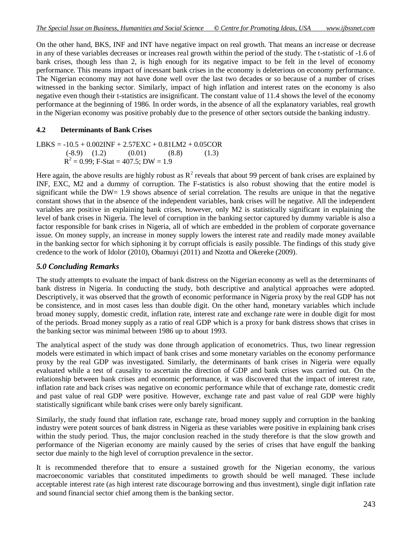On the other hand, BKS, INF and INT have negative impact on real growth. That means an increase or decrease in any of these variables decreases or increases real growth within the period of the study. The t-statistic of -1.6 of bank crises, though less than 2, is high enough for its negative impact to be felt in the level of economy performance. This means impact of incessant bank crises in the economy is deleterious on economy performance. The Nigerian economy may not have done well over the last two decades or so because of a number of crises witnessed in the banking sector. Similarly, impact of high inflation and interest rates on the economy is also negative even though their t-statistics are insignificant. The constant value of 11.4 shows the level of the economy performance at the beginning of 1986. In order words, in the absence of all the explanatory variables, real growth in the Nigerian economy was positive probably due to the presence of other sectors outside the banking industry.

### **4.2 Determinants of Bank Crises**

$$
LBKS = -10.5 + 0.002INF + 2.57EXC + 0.81LM2 + 0.05COR
$$
  
\n
$$
(-8.9) \quad (1.2) \quad (0.01) \quad (8.8) \quad (1.3)
$$
  
\n
$$
R^2 = 0.99; F\text{-}Stat = 407.5; DW = 1.9
$$

Here again, the above results are highly robust as  $R^2$  reveals that about 99 percent of bank crises are explained by INF, EXC, M2 and a dummy of corruption. The F-statistics is also robust showing that the entire model is significant while the DW= 1.9 shows absence of serial correlation. The results are unique in that the negative constant shows that in the absence of the independent variables, bank crises will be negative. All the independent variables are positive in explaining bank crises, however, only M2 is statistically significant in explaining the level of bank crises in Nigeria. The level of corruption in the banking sector captured by dummy variable is also a factor responsible for bank crises in Nigeria, all of which are embedded in the problem of corporate governance issue. On money supply, an increase in money supply lowers the interest rate and readily made money available in the banking sector for which siphoning it by corrupt officials is easily possible. The findings of this study give credence to the work of Idolor (2010), Obamuyi (2011) and Nzotta and Okereke (2009).

## *5.0 Concluding Remarks*

The study attempts to evaluate the impact of bank distress on the Nigerian economy as well as the determinants of bank distress in Nigeria. In conducting the study, both descriptive and analytical approaches were adopted. Descriptively, it was observed that the growth of economic performance in Nigeria proxy by the real GDP has not be consistence, and in most cases less than double digit. On the other hand, monetary variables which include broad money supply, domestic credit, inflation rate, interest rate and exchange rate were in double digit for most of the periods. Broad money supply as a ratio of real GDP which is a proxy for bank distress shows that crises in the banking sector was minimal between 1986 up to about 1993.

The analytical aspect of the study was done through application of econometrics. Thus, two linear regression models were estimated in which impact of bank crises and some monetary variables on the economy performance proxy by the real GDP was investigated. Similarly, the determinants of bank crises in Nigeria were equally evaluated while a test of causality to ascertain the direction of GDP and bank crises was carried out. On the relationship between bank crises and economic performance, it was discovered that the impact of interest rate, inflation rate and back crises was negative on economic performance while that of exchange rate, domestic credit and past value of real GDP were positive. However, exchange rate and past value of real GDP were highly statistically significant while bank crises were only barely significant.

Similarly, the study found that inflation rate, exchange rate, broad money supply and corruption in the banking industry were potent sources of bank distress in Nigeria as these variables were positive in explaining bank crises within the study period. Thus, the major conclusion reached in the study therefore is that the slow growth and performance of the Nigerian economy are mainly caused by the series of crises that have engulf the banking sector due mainly to the high level of corruption prevalence in the sector.

It is recommended therefore that to ensure a sustained growth for the Nigerian economy, the various macroeconomic variables that constituted impediments to growth should be well managed. These include acceptable interest rate (as high interest rate discourage borrowing and thus investment), single digit inflation rate and sound financial sector chief among them is the banking sector.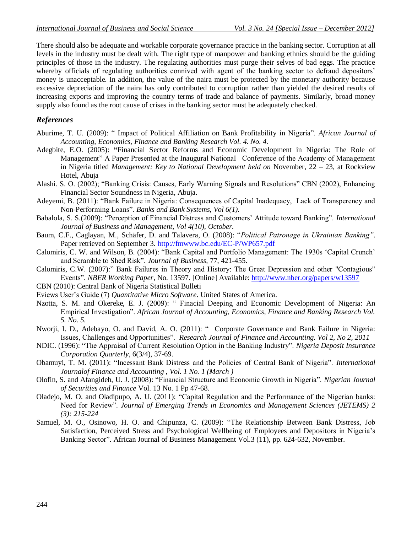There should also be adequate and workable corporate governance practice in the banking sector. Corruption at all levels in the industry must be dealt with. The right type of manpower and banking ethnics should be the guiding principles of those in the industry. The regulating authorities must purge their selves of bad eggs. The practice whereby officials of regulating authorities connived with agent of the banking sector to defraud depositors' money is unacceptable. In addition, the value of the naira must be protected by the monetary authority because excessive depreciation of the naira has only contributed to corruption rather than yielded the desired results of increasing exports and improving the country terms of trade and balance of payments. Similarly, broad money supply also found as the root cause of crises in the banking sector must be adequately checked.

## *References*

- Aburime, T. U. (2009): " Impact of Political Affiliation on Bank Profitability in Nigeria". *African Journal of Accounting, Economics, Finance and Banking Research Vol. 4. No. 4.*
- Adegbite, E.O. (2005): **"**Financial Sector Reforms and Economic Development in Nigeria: The Role of Management" A Paper Presented at the Inaugural National Conference of the Academy of Management in Nigeria titled *Management: Key to National Development held on* November, 22 – 23, at Rockview Hotel, Abuja
- Alashi. S. O. (2002); "Banking Crisis: Causes, Early Warning Signals and Resolutions" CBN (2002), Enhancing Financial Sector Soundness in Nigeria, Abuja.
- Adeyemi, B. (2011): "Bank Failure in Nigeria: Consequences of Capital Inadequacy, Lack of Transperency and Non-Performing Loans". *Banks and Bank Systems, Vol 6(1).*
- Babalola, S. S.(2009): "Perception of Financial Distress and Customers" Attitude toward Banking". *International Journal of Business and Management, Vol 4(10), October.*
- Baum, C.F., Caglayan, M., Schäfer, D. and Talavera, O. (2008): "*Political Patronage in Ukrainian Banking"*. Paper retrieved on September 3.<http://fmwww.bc.edu/EC-P/WP657.pdf>
- Calomiris, C. W. and Wilson, B. (2004): "Bank Capital and Portfolio Management: The 1930s "Capital Crunch" and Scramble to Shed Risk". *Journal of Business,* 77, 421-455.
- Calomiris, C.W. (2007):" Bank Failures in Theory and History: The Great Depression and other "Contagious" Events". *NBER Working Paper*, No. 13597. [Online] Available:<http://www.nber.org/papers/w13597>
- CBN (2010): Central Bank of Nigeria Statistical Bulleti
- Eviews User"s Guide (7) *Quantitative Micro Software*. United States of America.
- Nzotta, S. M. and Okereke, E. J. (2009): " Finacial Deeping and Economic Development of Nigeria: An Empirical Investigation". *African Journal of Accounting, Economics, Finance and Banking Research Vol. 5. No. 5.*
- Nworji, I. D., Adebayo, O. and David, A. O. (2011): " Corporate Governance and Bank Failure in Nigeria: Issues, Challenges and Opportunities". *Research Journal of Finance and Accounting. Vol 2, No 2, 2011*
- NDIC. (1996): "The Appraisal of Current Resolution Option in the Banking Industry". *Nigeria Deposit Insurance Corporation Quarterly*, 6(3/4)*,* 37-69.
- Obamuyi, T. M. (2011): "Incessant Bank Distress and the Policies of Central Bank of Nigeria". *International Journalof Finance and Accounting , Vol. 1 No. 1 (March )*
- Olofin, S. and Afangideh, U. J. (2008): "Financial Structure and Economic Growth in Nigeria". *Nigerian Journal of Securities and Finance* Vol. 13 No. 1 Pp 47-68.
- Oladejo, M. O. and Oladipupo, A. U. (2011): "Capital Regulation and the Performance of the Nigerian banks: Need for Review". *Journal of Emerging Trends in Economics and Management Sciences (JETEMS) 2 (3): 215-224*
- Samuel, M. O., Osinowo, H. O. and Chipunza, C. (2009): "The Relationship Between Bank Distress, Job Satisfaction, Perceived Stress and Psychological Wellbeing of Employees and Depositors in Nigeria"s Banking Sector". African Journal of Business Management Vol.3 (11), pp. 624-632, November.